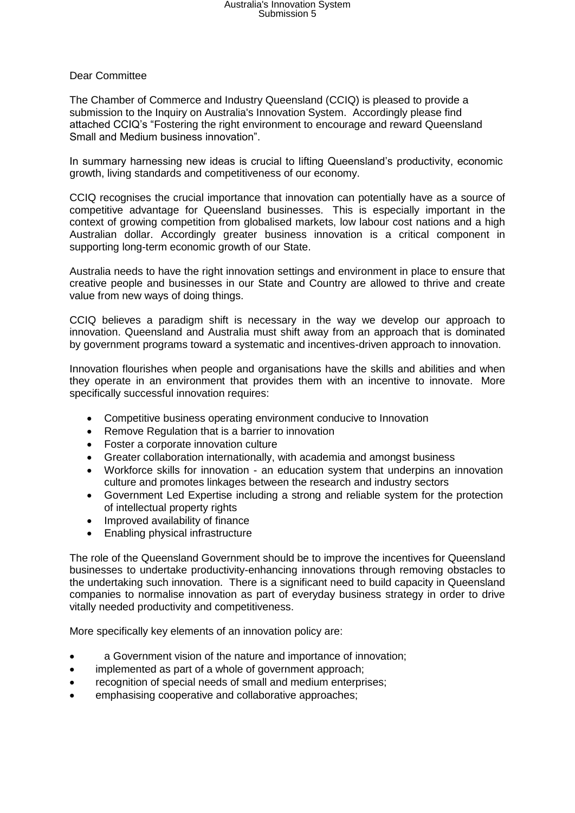## Australia's Innovation System Submission 5

## Dear Committee

The Chamber of Commerce and Industry Queensland (CCIQ) is pleased to provide a submission to the Inquiry on Australia's Innovation System. Accordingly please find attached CCIQ's "Fostering the right environment to encourage and reward Queensland Small and Medium business innovation".

In summary harnessing new ideas is crucial to lifting Queensland's productivity, economic growth, living standards and competitiveness of our economy.

CCIQ recognises the crucial importance that innovation can potentially have as a source of competitive advantage for Queensland businesses. This is especially important in the context of growing competition from globalised markets, low labour cost nations and a high Australian dollar. Accordingly greater business innovation is a critical component in supporting long-term economic growth of our State.

Australia needs to have the right innovation settings and environment in place to ensure that creative people and businesses in our State and Country are allowed to thrive and create value from new ways of doing things.

CCIQ believes a paradigm shift is necessary in the way we develop our approach to innovation. Queensland and Australia must shift away from an approach that is dominated by government programs toward a systematic and incentives-driven approach to innovation.

Innovation flourishes when people and organisations have the skills and abilities and when they operate in an environment that provides them with an incentive to innovate. More specifically successful innovation requires:

- Competitive business operating environment conducive to Innovation
- Remove Regulation that is a barrier to innovation
- Foster a corporate innovation culture
- Greater collaboration internationally, with academia and amongst business
- Workforce skills for innovation an education system that underpins an innovation culture and promotes linkages between the research and industry sectors
- Government Led Expertise including a strong and reliable system for the protection of intellectual property rights
- Improved availability of finance
- Enabling physical infrastructure

The role of the Queensland Government should be to improve the incentives for Queensland businesses to undertake productivity-enhancing innovations through removing obstacles to the undertaking such innovation. There is a significant need to build capacity in Queensland companies to normalise innovation as part of everyday business strategy in order to drive vitally needed productivity and competitiveness.

More specifically key elements of an innovation policy are:

- a Government vision of the nature and importance of innovation;
- implemented as part of a whole of government approach;
- recognition of special needs of small and medium enterprises;
- emphasising cooperative and collaborative approaches;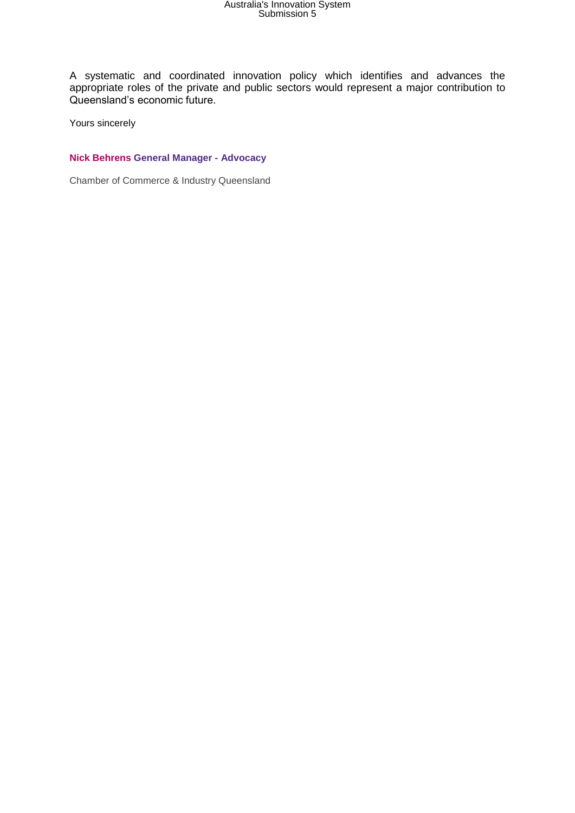## Australia's Innovation System Submission 5

A systematic and coordinated innovation policy which identifies and advances the appropriate roles of the private and public sectors would represent a major contribution to Queensland's economic future.

Yours sincerely

## **Nick Behrens General Manager - Advocacy**

Chamber of Commerce & Industry Queensland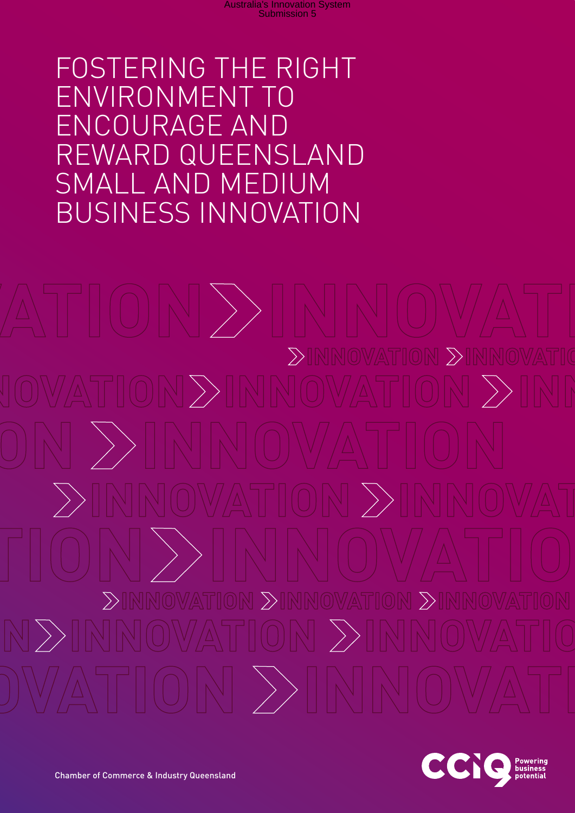Fostering the right environment to encourage and reward Queensland Small and Medium business innovation

 $\sum$  $\left\langle \right\rangle$  $\sum$  $\sum$  $\gg$  $\setminus$  $\left|\ \right\rangle$ 

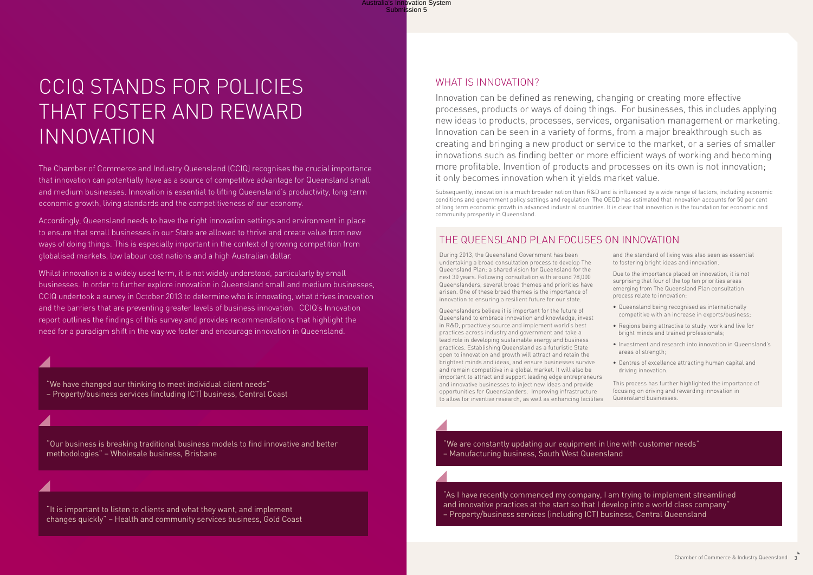Innovation can be defined as renewing, changing or creating more effective processes, products or ways of doing things. For businesses, this includes applying new ideas to products, processes, services, organisation management or marketing. Innovation can be seen in a variety of forms, from a major breakthrough such as creating and bringing a new product or service to the market, or a series of smaller innovations such as finding better or more efficient ways of working and becoming more profitable. Invention of products and processes on its own is not innovation; it only becomes innovation when it yields market value.

Subsequently, innovation is a much broader notion than R&D and is influenced by a wide range of factors, including economic conditions and government policy settings and regulation. The OECD has estimated that innovation accounts for 50 per cent of long term economic growth in advanced industrial countries. It is clear that innovation is the foundation for economic and community prosperity in Queensland.

The Chamber of Commerce and Industry Queensland (CCIQ) recognises the crucial importance that innovation can potentially have as a source of competitive advantage for Queensland small and medium businesses. Innovation is essential to lifting Queensland's productivity, long term economic growth, living standards and the competitiveness of our economy.

Accordingly, Queensland needs to have the right innovation settings and environment in place to ensure that small businesses in our State are allowed to thrive and create value from new ways of doing things. This is especially important in the context of growing competition from globalised markets, low labour cost nations and a high Australian dollar.

Whilst innovation is a widely used term, it is not widely understood, particularly by small businesses. In order to further explore innovation in Queensland small and medium businesses, CCIQ undertook a survey in October 2013 to determine who is innovating, what drives innovation and the barriers that are preventing greater levels of business innovation. CCIQ's Innovation report outlines the findings of this survey and provides recommendations that highlight the need for a paradigm shift in the way we foster and encourage innovation in Queensland.

"Our business is breaking traditional business models to find innovative and better methodologies" – Wholesale business, Brisbane

"It is important to listen to clients and what they want, and implement changes quickly" – Health and community services business, Gold Coast

## WHAT IS INNOVATION?

"As I have recently commenced my company, I am trying to implement streamlined and innovative practices at the start so that I develop into a world class company" – Property/business services (including ICT) business, Central Queensland

"We have changed our thinking to meet individual client needs" – Property/business services (including ICT) business, Central Coast Australia's Innovation System<br>Submission 5

# CCIQ stands for policies that foster and reward innovation

During 2013, the Queensland Government has been undertaking a broad consultation process to develop The Queensland Plan; a shared vision for Queensland for the next 30 years. Following consultation with around 78,000 Queenslanders, several broad themes and priorities have arisen. One of these broad themes is the importance of innovation to ensuring a resilient future for our state.

Queenslanders believe it is important for the future of Queensland to embrace innovation and knowledge, invest in R&D, proactively source and implement world's best practices across industry and government and take a lead role in developing sustainable energy and business practices. Establishing Queensland as a futuristic State open to innovation and growth will attract and retain the brightest minds and ideas, and ensure businesses survive and remain competitive in a global market. It will also be important to attract and support leading edge entrepreneurs and innovative businesses to inject new ideas and provide opportunities for Queenslanders. Improving infrastructure to allow for inventive research, as well as enhancing facilities

and the standard of living was also seen as essential to fostering bright ideas and innovation.

Due to the importance placed on innovation, it is not surprising that four of the top ten priorities areas emerging from The Queensland Plan consultation process relate to innovation:

- Queensland being recognised as internationally competitive with an increase in exports/business;
- Regions being attractive to study, work and live for bright minds and trained professionals;
- Investment and research into innovation in Queensland's
- 

areas of strength; • Centres of excellence attracting human capital and driving innovation. This process has further highlighted the importance of focusing on driving and rewarding innovation in Queensland businesses.

## The Queensland Plan focuses on innovation

"We are constantly updating our equipment in line with customer needs" – Manufacturing business, South West Queensland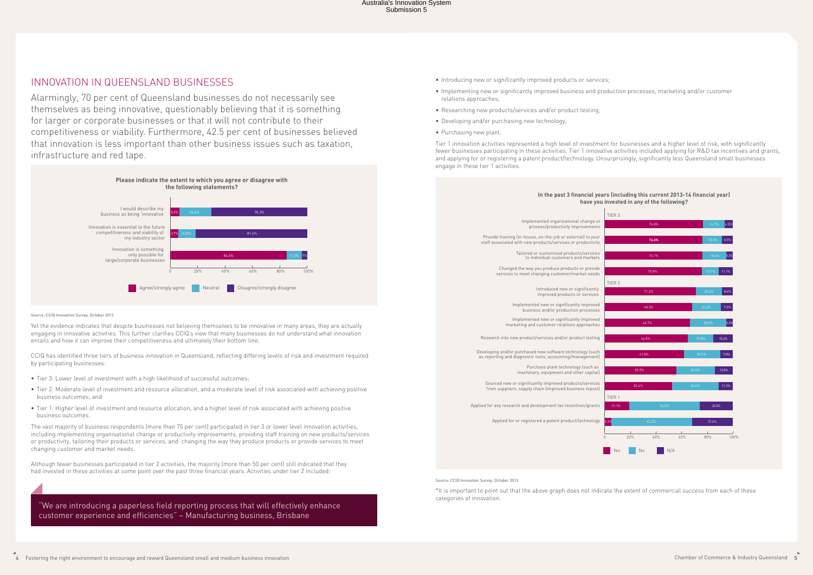#### **Including this current 2013-14 financial year) ested in any of the following?**

## Innovation in Queensland businesses

Alarmingly, 70 per cent of Queensland businesses do not necessarily see themselves as being innovative, questionably believing that it is something for larger or corporate businesses or that it will not contribute to their competitiveness or viability. Furthermore, 42.5 per cent of businesses believed that innovation is less important than other business issues such as taxation, infrastructure and red tape.



Source: CCIQ Innovation Survey, October 2013

Yet the evidence indicates that despite businesses not believing themselves to be innovative in many areas, they are actually engaging in innovative activities. This further clarifies CCIQ's view that many businesses do not understand what innovation entails and how it can improve their competitiveness and ultimately their bottom line.

CCIQ has identified three tiers of business innovation in Queensland, reflecting differing levels of risk and investment required by participating businesses:

- Tier 3: Lower level of investment with a high likelihood of successful outcomes;
- Tier 2: Moderate level of investment and resource allocation, and a moderate level of risk associated with achieving positive business outcomes; and
- Tier 1: Higher level of investment and resource allocation, and a higher level of risk associated with achieving positive business outcomes.

The vast majority of business respondents (more than 75 per cent) participated in tier 3 or lower level innovation activities, including implementing organisational change or productivity improvements, providing staff training on new products/services or productivity, tailoring their products or services, and changing the way they produce products or provide services to meet changing customer and market needs.

Although fewer businesses participated in tier 2 activities, the majority (more than 50 per cent) still indicated that they had invested in these activities at some point over the past three financial years. Activities under tier 2 included:

- Introducing new or significantly improved products or services;
- Implementing new or significantly improved business and production processes, marketing and/or customer relations approaches;
- Researching new products/services and/or product testing;
- Developing and/or purchasing new technology;
- Purchasing new plant.

Tier 1 innovation activities represented a high level of investment for businesses and a higher level of risk, with significantly fewer businesses participating in these activities. Tier 1 innovative activities included applying for R&D tax incentives and grants, and applying for or registering a patent product/technology. Unsurprisingly, significantly less Queensland small businesses engage in these tier 1 activities.

|                   | In the past 3 financial years (inc<br>have you invest                                                                      |  |
|-------------------|----------------------------------------------------------------------------------------------------------------------------|--|
| TIER <sub>3</sub> |                                                                                                                            |  |
|                   | Implemented organisational change or<br>process/productivity improvements                                                  |  |
|                   | Provide training (in-house, on-the-job or external) to your<br>staff associated with new products/services or productivity |  |
|                   | Tailored or customised products/services<br>to individual customers and markets                                            |  |
|                   | Changed the way you produce products or provide<br>services to meet changing customer/market needs                         |  |
| TIER <sub>2</sub> |                                                                                                                            |  |
|                   | Introduced new or significantly<br>improved products or services                                                           |  |
|                   | Implemented new or significantly improved<br>business and/or production processes                                          |  |
|                   | Implemented new or significantly improved<br>marketing and customer relations approaches                                   |  |
|                   | Research into new product/services and/or product testing                                                                  |  |
|                   | Developing and/or purchased new software technology (such<br>as reporting and diagnostic tools, accounting/management)     |  |
|                   | Purchase plant technology (such as<br>machinery, equipment and other capital)                                              |  |
|                   | Sourced new or significantly improved products/services<br>from suppliers, supply chain (improved business inputs)         |  |
| TIER <sub>1</sub> |                                                                                                                            |  |
| 19.1%             | Applied for any research and development tax incentives/grants                                                             |  |
| 5.3%              | Applied for or registered a patent product/technology                                                                      |  |
| 0                 |                                                                                                                            |  |
| Yes               |                                                                                                                            |  |
|                   |                                                                                                                            |  |
|                   |                                                                                                                            |  |



Source: CCIQ Innovation Survey, October 2013

\*It is important to point out that the above graph does not indicate the extent of commercial success from each of these categories of innovation.

"We are introducing a paperless field reporting process that will effectively enhance customer experience and efficiencies" – Manufacturing business, Brisbane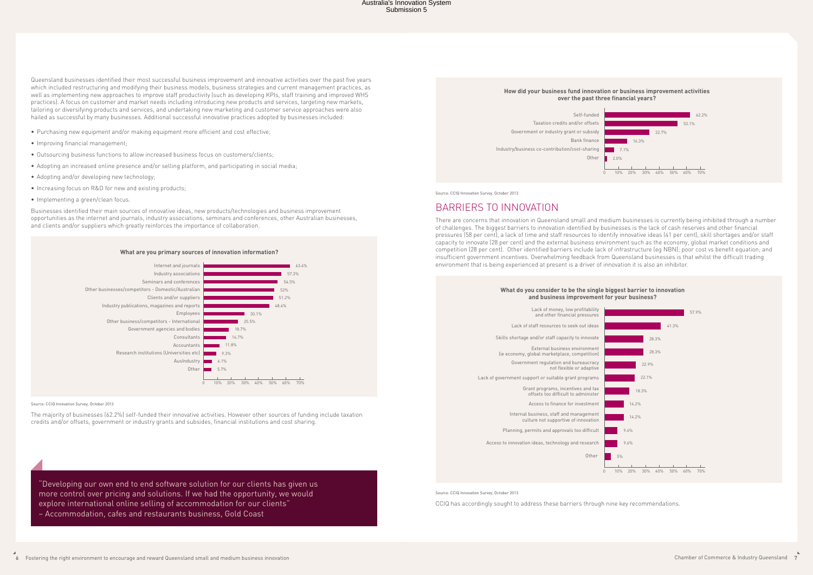"Developing our own end to end software solution for our clients has given us more control over pricing and solutions. If we had the opportunity, we would explore international online selling of accommodation for our clients"

– Accommodation, cafes and restaurants business, Gold Coast

Queensland businesses identified their most successful business improvement and innovative activities over the past five years which included restructuring and modifying their business models, business strategies and current management practices, as well as implementing new approaches to improve staff productivity (such as developing KPIs, staff training and improved WHS practices). A focus on customer and market needs including introducing new products and services, targeting new markets, tailoring or diversifying products and services, and undertaking new marketing and customer service approaches were also hailed as successful by many businesses. Additional successful innovative practices adopted by businesses included:

- Purchasing new equipment and/or making equipment more efficient and cost effective;
- Improving financial management;
- Outsourcing business functions to allow increased business focus on customers/clients;
- Adopting an increased online presence and/or selling platform, and participating in social media;
- Adopting and/or developing new technology;
- Increasing focus on R&D for new and existing products;
- Implementing a green/clean focus.

Businesses identified their main sources of innovative ideas, new products/technologies and business improvement opportunities as the internet and journals, industry associations, seminars and conferences, other Australian businesses, and clients and/or suppliers which greatly reinforces the importance of collaboration.



#### Source: CCIQ Innovation Survey, October 2013

The majority of businesses (62.2%) self-funded their innovative activities. However other sources of funding include taxation credits and/or offsets, government or industry grants and subsides, financial institutions and cost sharing.







Source: CCIQ Innovation Survey, October 2013

## Barriers to innovation

There are concerns that innovation in Queensland small and medium businesses is currently being inhibited through a number of challenges. The biggest barriers to innovation identified by businesses is the lack of cash reserves and other financial pressures (58 per cent), a lack of time and staff resources to identify innovative ideas (41 per cent), skill shortages and/or staff capacity to innovate (28 per cent) and the external business environment such as the economy, global market conditions and competition (28 per cent). Other identified barriers include lack of infrastructure (eg NBN); poor cost vs benefit equation; and insufficient government incentives. Overwhelming feedback from Queensland businesses is that whilst the difficult trading environment that is being experienced at present is a driver of innovation it is also an inhibitor.



| <b>WILLOW YOU CONSIDER TO DE THE SINGLE DIGH</b><br>and business improvement for |  |
|----------------------------------------------------------------------------------|--|
| Lack of money, low profitability<br>and other financial pressures                |  |
|                                                                                  |  |
| Lack of staff resources to seek out ideas                                        |  |

Skills shortage and/or staff capacity to innovate

External business environment (ie economy, global marketplace, competition)

Government regulation and bureaucracy not flexible or adaptive

Lack of government support or suitable grant programs

Grant programs, incentives and tax offsets too difficult to administer

Access to finance for investment Internal business, staff and management

culture not supportive of innovation

Planning, permits and approvals too difficult

Access to innovation ideas, technology and research

**Other** 

Source: CCIQ Innovation Survey, October 2013

CCIQ has accordingly sought to address these barriers through nine key recommendations.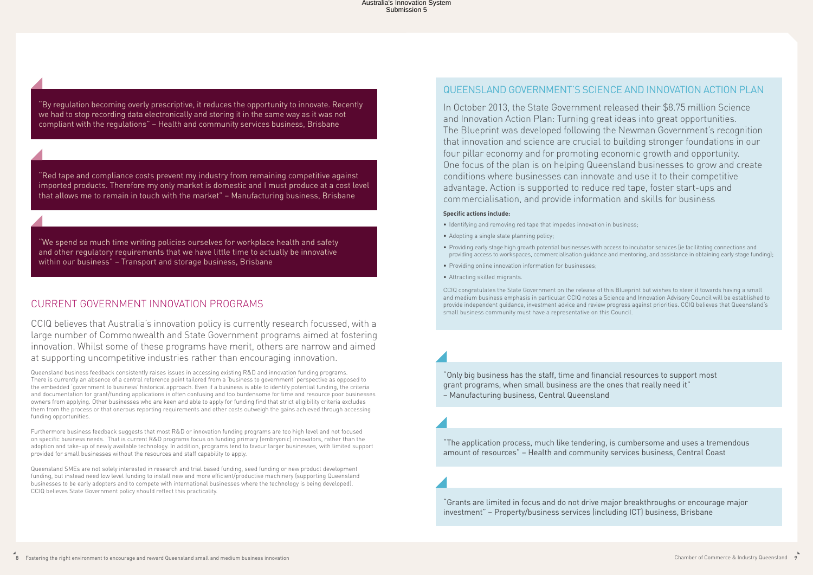## Current Government innovation programs

CCIQ believes that Australia's innovation policy is currently research focussed, with a large number of Commonwealth and State Government programs aimed at fostering innovation. Whilst some of these programs have merit, others are narrow and aimed at supporting uncompetitive industries rather than encouraging innovation.

Queensland business feedback consistently raises issues in accessing existing R&D and innovation funding programs. There is currently an absence of a central reference point tailored from a 'business to government' perspective as opposed to the embedded 'government to business' historical approach. Even if a business is able to identify potential funding, the criteria and documentation for grant/funding applications is often confusing and too burdensome for time and resource poor businesses owners from applying. Other businesses who are keen and able to apply for funding find that strict eligibility criteria excludes them from the process or that onerous reporting requirements and other costs outweigh the gains achieved through accessing funding opportunities.

Furthermore business feedback suggests that most R&D or innovation funding programs are too high level and not focused on specific business needs. That is current R&D programs focus on funding primary (embryonic) innovators, rather than the adoption and take-up of newly available technology. In addition, programs tend to favour larger businesses, with limited support provided for small businesses without the resources and staff capability to apply.

Queensland SMEs are not solely interested in research and trial based funding, seed funding or new product development funding, but instead need low level funding to install new and more efficient/productive machinery (supporting Queensland businesses to be early adopters and to compete with international businesses where the technology is being developed). CCIQ believes State Government policy should reflect this practicality.

## Queensland Government's Science and Innovation Action Plan

In October 2013, the State Government released their \$8.75 million Science and Innovation Action Plan: Turning great ideas into great opportunities. The Blueprint was developed following the Newman Government's recognition that innovation and science are crucial to building stronger foundations in our four pillar economy and for promoting economic growth and opportunity. One focus of the plan is on helping Queensland businesses to grow and create conditions where businesses can innovate and use it to their competitive advantage. Action is supported to reduce red tape, foster start-ups and commercialisation, and provide information and skills for business

## **Specific actions include:**

- Identifying and removing red tape that impedes innovation in business;
- Adopting a single state planning policy;
- Providing early stage high growth potential businesses with access to incubator services (ie facilitating connections and providing access to workspaces, commercialisation guidance and mentoring, and assistance in obtaining early stage funding);
- Providing online innovation information for businesses;
- Attracting skilled migrants.

CCIQ congratulates the State Government on the release of this Blueprint but wishes to steer it towards having a small and medium business emphasis in particular. CCIQ notes a Science and Innovation Advisory Council will be established to provide independent guidance, investment advice and review progress against priorities. CCIQ believes that Queensland's small business community must have a representative on this Council.

"Only big business has the staff, time and financial resources to support most grant programs, when small business are the ones that really need it" – Manufacturing business, Central Queensland

"The application process, much like tendering, is cumbersome and uses a tremendous amount of resources" – Health and community services business, Central Coast

"Grants are limited in focus and do not drive major breakthroughs or encourage major investment" – Property/business services (including ICT) business, Brisbane

"By regulation becoming overly prescriptive, it reduces the opportunity to innovate. Recently we had to stop recording data electronically and storing it in the same way as it was not compliant with the regulations" – Health and community services business, Brisbane

"Red tape and compliance costs prevent my industry from remaining competitive against imported products. Therefore my only market is domestic and I must produce at a cost level that allows me to remain in touch with the market" – Manufacturing business, Brisbane

"We spend so much time writing policies ourselves for workplace health and safety and other regulatory requirements that we have little time to actually be innovative within our business" – Transport and storage business, Brisbane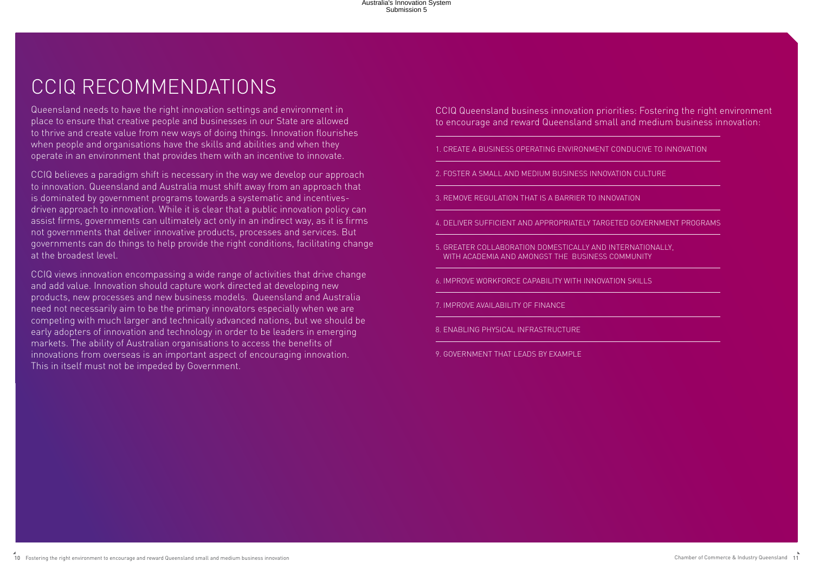# CCIQ Recommendations

Queensland needs to have the right innovation settings and environment in place to ensure that creative people and businesses in our State are allowed to thrive and create value from new ways of doing things. Innovation flourishes when people and organisations have the skills and abilities and when they operate in an environment that provides them with an incentive to innovate.

CCIQ believes a paradigm shift is necessary in the way we develop our approach to innovation. Queensland and Australia must shift away from an approach that is dominated by government programs towards a systematic and incentivesdriven approach to innovation. While it is clear that a public innovation policy can assist firms, governments can ultimately act only in an indirect way, as it is firms not governments that deliver innovative products, processes and services. But governments can do things to help provide the right conditions, facilitating change at the broadest level.

CCIQ views innovation encompassing a wide range of activities that drive change and add value. Innovation should capture work directed at developing new products, new processes and new business models. Queensland and Australia need not necessarily aim to be the primary innovators especially when we are competing with much larger and technically advanced nations, but we should be early adopters of innovation and technology in order to be leaders in emerging markets. The ability of Australian organisations to access the benefits of innovations from overseas is an important aspect of encouraging innovation. This in itself must not be impeded by Government.

CCIQ Queensland business innovation priorities: Fostering the right environment to encourage and reward Queensland small and medium business innovation:

1. Create a business operating environment conducive to innovation

2. Foster a small and medium business innovation culture

3. Remove regulation that is a barrier to innovation

4. Deliver sufficient and appropriately targeted government programs

5. Greater collaboration domestically and internationally, with academia and amongst the business community

6. Improve workforce capability with innovation skills

7. Improve availability of finance

8. Enabling physical infrastructure

9. Government that leads by example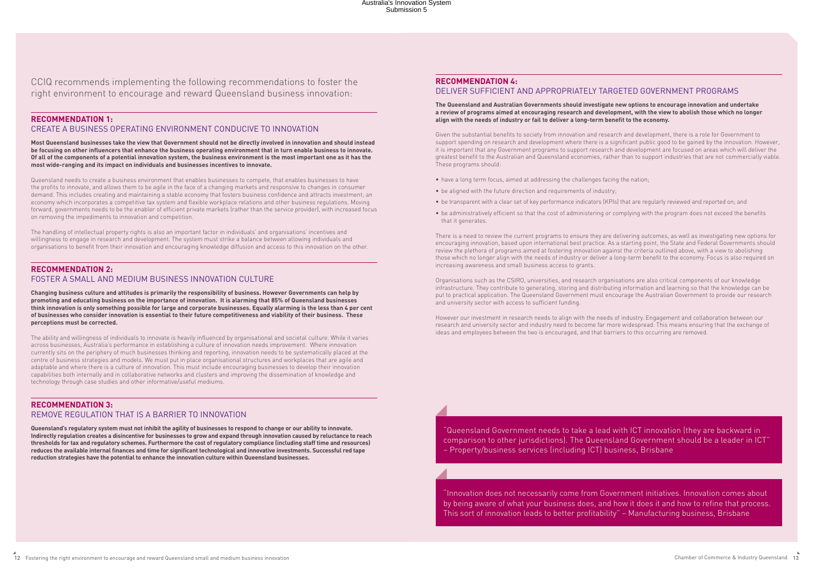## **Recommendation 1:**

## Create a business operating environment conducive to innovation

**Most Queensland businesses take the view that Government should not be directly involved in innovation and should instead be focusing on other influencers that enhance the business operating environment that in turn enable business to innovate. Of all of the components of a potential innovation system, the business environment is the most important one as it has the most wide-ranging and its impact on individuals and businesses incentives to innovate.**

Queensland needs to create a business environment that enables businesses to compete, that enables businesses to have the profits to innovate, and allows them to be agile in the face of a changing markets and responsive to changes in consumer demand. This includes creating and maintaining a stable economy that fosters business confidence and attracts investment; an economy which incorporates a competitive tax system and flexible workplace relations and other business regulations. Moving forward, governments needs to be the enabler of efficient private markets (rather than the service provider), with increased focus on removing the impediments to innovation and competition.

The handling of intellectual property rights is also an important factor in individuals' and organisations' incentives and willingness to engage in research and development. The system must strike a balance between allowing individuals and organisations to benefit from their innovation and encouraging knowledge diffusion and access to this innovation on the other.

## **Recommendation 2:** Foster a small and medium business innovation culture

**Changing business culture and attitudes is primarily the responsibility of business. However Governments can help by promoting and educating business on the importance of innovation. It is alarming that 85% of Queensland businesses think innovation is only something possible for large and corporate businesses. Equally alarming is the less than 4 per cent of businesses who consider innovation is essential to their future competitiveness and viability of their business. These perceptions must be corrected.** 

The ability and willingness of individuals to innovate is heavily influenced by organisational and societal culture. While it varies across businesses, Australia's performance in establishing a culture of innovation needs improvement. Where innovation currently sits on the periphery of much businesses thinking and reporting, innovation needs to be systematically placed at the centre of business strategies and models. We must put in place organisational structures and workplaces that are agile and adaptable and where there is a culture of innovation. This must include encouraging businesses to develop their innovation capabilities both internally and in collaborative networks and clusters and improving the dissemination of knowledge and technology through case studies and other informative/useful mediums.

## **Recommendation 3:** Remove regulation that is a barrier to innovation

**Queensland's regulatory system must not inhibit the agility of businesses to respond to change or our ability to innovate. Indirectly regulation creates a disincentive for businesses to grow and expand through innovation caused by reluctance to reach thresholds for tax and regulatory schemes. Furthermore the cost of regulatory compliance (including staff time and resources) reduces the available internal finances and time for significant technological and innovative investments. Successful red tape reduction strategies have the potential to enhance the innovation culture within Queensland businesses.** 

## **Recommendation 4:**

## Deliver sufficient and appropriately targeted government programs

#### **The Queensland and Australian Governments should investigate new options to encourage innovation and undertake a review of programs aimed at encouraging research and development, with the view to abolish those which no longer align with the needs of industry or fail to deliver a long-term benefit to the economy.**

Given the substantial benefits to society from innovation and research and development, there is a role for Government to support spending on research and development where there is a significant public good to be gained by the innovation. However, it is important that any Government programs to support research and development are focused on areas which will deliver the greatest benefit to the Australian and Queensland economies, rather than to support industries that are not commercially viable. These programs should:

- have a long term focus, aimed at addressing the challenges facing the nation;
- be aligned with the future direction and requirements of industry;
- be transparent with a clear set of key performance indicators (KPIs) that are regularly reviewed and reported on; and
- be administratively efficient so that the cost of administering or complying with the program does not exceed the benefits that it generates.

There is a need to review the current programs to ensure they are delivering outcomes, as well as investigating new options for encouraging innovation, based upon international best practice. As a starting point, the State and Federal Governments should review the plethora of programs aimed at fostering innovation against the criteria outlined above, with a view to abolishing those which no longer align with the needs of industry or deliver a long-term benefit to the economy. Focus is also required on increasing awareness and small business access to grants.

Organisations such as the CSIRO, universities, and research organisations are also critical components of our knowledge infrastructure. They contribute to generating, storing and distributing information and learning so that the knowledge can be put to practical application. The Queensland Government must encourage the Australian Government to provide our research and university sector with access to sufficient funding.

However our investment in research needs to align with the needs of industry. Engagement and collaboration between our research and university sector and industry need to become far more widespread. This means ensuring that the exchange of ideas and employees between the two is encouraged, and that barriers to this occurring are removed.

"Innovation does not necessarily come from Government initiatives. Innovation comes about by being aware of what your business does, and how it does it and how to refine that process. This sort of innovation leads to better profitability" – Manufacturing business, Brisbane

"Queensland Government needs to take a lead with ICT innovation (they are backward in comparison to other jurisdictions). The Queensland Government should be a leader in ICT" – Property/business services (including ICT) business, Brisbane

CCIQ recommends implementing the following recommendations to foster the right environment to encourage and reward Queensland business innovation: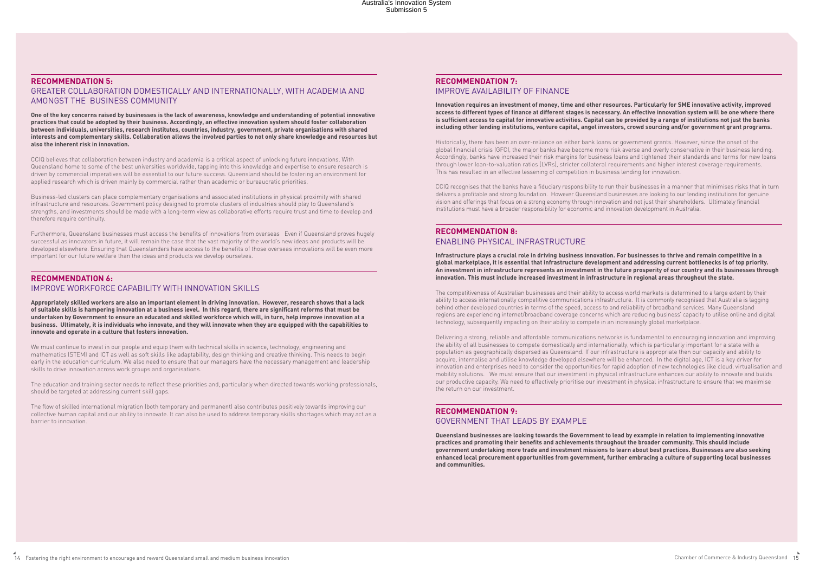## **Recommendation 5:**

Greater collaboration domestically and internationally, with academia and amongst the business community

**One of the key concerns raised by businesses is the lack of awareness, knowledge and understanding of potential innovative practices that could be adopted by their business. Accordingly, an effective innovation system should foster collaboration between individuals, universities, research institutes, countries, industry, government, private organisations with shared interests and complementary skills. Collaboration allows the involved parties to not only share knowledge and resources but also the inherent risk in innovation.** 

CCIQ believes that collaboration between industry and academia is a critical aspect of unlocking future innovations. With Queensland home to some of the best universities worldwide, tapping into this knowledge and expertise to ensure research is driven by commercial imperatives will be essential to our future success. Queensland should be fostering an environment for applied research which is driven mainly by commercial rather than academic or bureaucratic priorities.

Business-led clusters can place complementary organisations and associated institutions in physical proximity with shared infrastructure and resources. Government policy designed to promote clusters of industries should play to Queensland's strengths, and investments should be made with a long-term view as collaborative efforts require trust and time to develop and therefore require continuity.

Furthermore, Queensland businesses must access the benefits of innovations from overseas Even if Queensland proves hugely successful as innovators in future, it will remain the case that the vast majority of the world's new ideas and products will be developed elsewhere. Ensuring that Queenslanders have access to the benefits of those overseas innovations will be even more important for our future welfare than the ideas and products we develop ourselves.

## **Recommendation 6:** Improve workforce capability with innovation skills

**Appropriately skilled workers are also an important element in driving innovation. However, research shows that a lack of suitable skills is hampering innovation at a business level. In this regard, there are significant reforms that must be undertaken by Government to ensure an educated and skilled workforce which will, in turn, help improve innovation at a business. Ultimately, it is individuals who innovate, and they will innovate when they are equipped with the capabilities to innovate and operate in a culture that fosters innovation.** 

We must continue to invest in our people and equip them with technical skills in science, technology, engineering and mathematics (STEM) and ICT as well as soft skills like adaptability, design thinking and creative thinking. This needs to begin early in the education curriculum. We also need to ensure that our managers have the necessary management and leadership skills to drive innovation across work groups and organisations.

The education and training sector needs to reflect these priorities and, particularly when directed towards working professionals, should be targeted at addressing current skill gaps.

The flow of skilled international migration (both temporary and permanent) also contributes positively towards improving our collective human capital and our ability to innovate. It can also be used to address temporary skills shortages which may act as a barrier to innovation.

## **Recommendation 7:** Improve availability of finance

**Innovation requires an investment of money, time and other resources. Particularly for SME innovative activity, improved access to different types of finance at different stages is necessary. An effective innovation system will be one where there** 

## **is sufficient access to capital for innovative activities. Capital can be provided by a range of institutions not just the banks including other lending institutions, venture capital, angel investors, crowd sourcing and/or government grant programs.**

Historically, there has been an over-reliance on either bank loans or government grants. However, since the onset of the global financial crisis (GFC), the major banks have become more risk averse and overly conservative in their business lending. Accordingly, banks have increased their risk margins for business loans and tightened their standards and terms for new loans through lower loan-to-valuation ratios (LVRs), stricter collateral requirements and higher interest coverage requirements. This has resulted in an effective lessening of competition in business lending for innovation.

CCIQ recognises that the banks have a fiduciary responsibility to run their businesses in a manner that minimises risks that in turn delivers a profitable and strong foundation. However Queensland businesses are looking to our lending institutions for genuine vision and offerings that focus on a strong economy through innovation and not just their shareholders. Ultimately financial institutions must have a broader responsibility for economic and innovation development in Australia.

## **Recommendation 8:** Enabling physical infrastructure

# **Infrastructure plays a crucial role in driving business innovation. For businesses to thrive and remain competitive in a**

**global marketplace, it is essential that infrastructure development and addressing current bottlenecks is of top priority. An investment in infrastructure represents an investment in the future prosperity of our country and its businesses through innovation. This must include increased investment in infrastructure in regional areas throughout the state.** 

The competitiveness of Australian businesses and their ability to access world markets is determined to a large extent by their ability to access internationally competitive communications infrastructure. It is commonly recognised that Australia is lagging behind other developed countries in terms of the speed, access to and reliability of broadband services. Many Queensland regions are experiencing internet/broadband coverage concerns which are reducing business' capacity to utilise online and digital technology, subsequently impacting on their ability to compete in an increasingly global marketplace.

Delivering a strong, reliable and affordable communications networks is fundamental to encouraging innovation and improving the ability of all businesses to compete domestically and internationally, which is particularly important for a state with a population as geographically dispersed as Queensland. If our infrastructure is appropriate then our capacity and ability to acquire, internalise and utilise knowledge developed elsewhere will be enhanced. In the digital age, ICT is a key driver for innovation and enterprises need to consider the opportunities for rapid adoption of new technologies like cloud, virtualisation and mobility solutions. We must ensure that our investment in physical infrastructure enhances our ability to innovate and builds our productive capacity. We need to effectively prioritise our investment in physical infrastructure to ensure that we maximise the return on our investment.

## **Recommendation 9:** Government that leads by example

**Queensland businesses are looking towards the Government to lead by example in relation to implementing innovative practices and promoting their benefits and achievements throughout the broader community. This should include government undertaking more trade and investment missions to learn about best practices. Businesses are also seeking enhanced local procurement opportunities from government, further embracing a culture of supporting local businesses and communities.**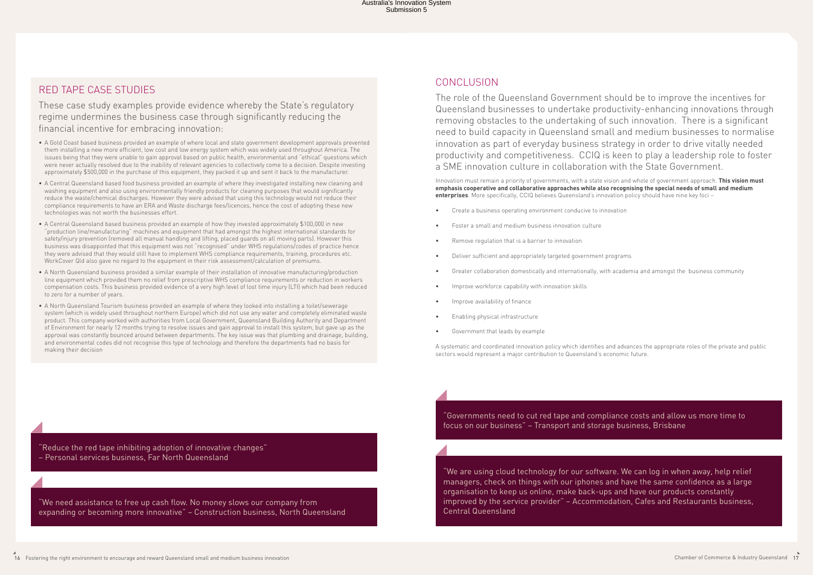## Red Tape Case Studies

These case study examples provide evidence whereby the State's regulatory regime undermines the business case through significantly reducing the financial incentive for embracing innovation:

- A Gold Coast based business provided an example of where local and state government development approvals prevented them installing a new more efficient, low cost and low energy system which was widely used throughout America. The issues being that they were unable to gain approval based on public health, environmental and "ethical" questions which were never actually resolved due to the inability of relevant agencies to collectively come to a decision. Despite investing approximately \$500,000 in the purchase of this equipment, they packed it up and sent it back to the manufacturer.
- A Central Queensland based food business provided an example of where they investigated installing new cleaning and washing equipment and also using environmentally friendly products for cleaning purposes that would significantly reduce the waste/chemical discharges. However they were advised that using this technology would not reduce their compliance requirements to have an ERA and Waste discharge fees/licences, hence the cost of adopting these new technologies was not worth the businesses effort.
- A Central Queensland based business provided an example of how they invested approximately \$100,000 in new "production line/manufacturing" machines and equipment that had amongst the highest international standards for safety/injury prevention (removed all manual handling and lifting, placed quards on all moving parts). However this business was disappointed that this equipment was not "recognised" under WHS regulations/codes of practice hence they were advised that they would still have to implement WHS compliance requirements, training, procedures etc. WorkCover Qld also gave no regard to the equipment in their risk assessment/calculation of premiums.
- A North Queensland business provided a similar example of their installation of innovative manufacturing/production line equipment which provided them no relief from prescriptive WHS compliance requirements or reduction in workers compensation costs. This business provided evidence of a very high level of lost time injury (LTI) which had been reduced to zero for a number of years.
- A North Queensland Tourism business provided an example of where they looked into installing a toilet/sewerage system (which is widely used throughout northern Europe) which did not use any water and completely eliminated waste product. This company worked with authorities from Local Government, Queensland Building Authority and Department of Environment for nearly 12 months trying to resolve issues and gain approval to install this system, but gave up as the approval was constantly bounced around between departments. The key issue was that plumbing and drainage, building, and environmental codes did not recognise this type of technology and therefore the departments had no basis for making their decision

"We need assistance to free up cash flow. No money slows our company from expanding or becoming more innovative" – Construction business, North Queensland

"Reduce the red tape inhibiting adoption of innovative changes" – Personal services business, Far North Queensland

## Conclusion

The role of the Queensland Government should be to improve the incentives for Queensland businesses to undertake productivity-enhancing innovations through removing obstacles to the undertaking of such innovation. There is a significant need to build capacity in Queensland small and medium businesses to normalise innovation as part of everyday business strategy in order to drive vitally needed productivity and competitiveness. CCIQ is keen to play a leadership role to foster a SME innovation culture in collaboration with the State Government.

Innovation must remain a priority of governments, with a state vision and whole of government approach. **This vision must emphasis cooperative and collaborative approaches while also recognising the special needs of small and medium enterprises**. More specifically, CCIQ believes Queensland's innovation policy should have nine key foci –

- Create a business operating environment conducive to innovation
- Foster a small and medium business innovation culture
- Remove regulation that is a barrier to innovation
- Deliver sufficient and appropriately targeted government programs
- Greater collaboration domestically and internationally, with academia and amongst the business community
- Improve workforce capability with innovation skills
- Improve availability of finance
- Enabling physical infrastructure
- Government that leads by example

A systematic and coordinated innovation policy which identifies and advances the appropriate roles of the private and public sectors would represent a major contribution to Queensland's economic future.

"We are using cloud technology for our software. We can log in when away, help relief managers, check on things with our iphones and have the same confidence as a large organisation to keep us online, make back-ups and have our products constantly improved by the service provider" – Accommodation, Cafes and Restaurants business, Central Queensland

"Governments need to cut red tape and compliance costs and allow us more time to focus on our business" – Transport and storage business, Brisbane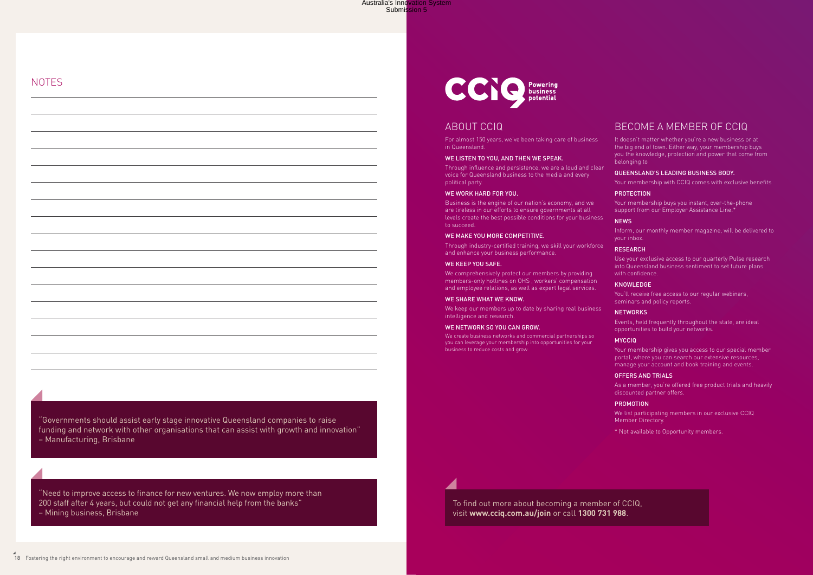To find out more about becoming a member of CCIQ, visit **www.cciq.com.au/join** or call **1300 731 988**.

## About CCIQ

For almost 150 years, we've been taking care of business in Queensland.

## WE LISTEN TO YOU, AND THEN WE SPEAK.

Through influence and persistence, we are a loud and clear voice for Queensland business to the media and every political party.

#### WE WORK HARD FOR YOU.

We comprehensively protect our members by providing members-only hotlines on OHS , workers' compensation and employee relations, as well as expert legal services.

We keep our members up to date by sharing real business intelligence and research.

#### WE NETWORK SO YOU CAN GROW.

Business is the engine of our nation's economy, and we are tireless in our efforts to ensure governments at all levels create the best possible conditions for your business to succeed.

#### WE MAKE YOU MORE COMPETITIVE.

Through industry-certified training, we skill your workforce and enhance your business performance.

#### WE KEEP YOU SAFE.

Use your exclusive access to our quarterly Pulse research into Queensland business sentiment to set future plans with confidence

#### **KNOWLEDGE**

#### We share what we know.

We create business networks and commercial partnerships so you can leverage your membership into opportunities for your business to reduce costs and grow

## Become a member of CCIQ

It doesn't matter whether you're a new business or at the big end of town. Either way, your membership buys you the knowledge, protection and power that come from belonging to

## Queensland's leading business body.

Your membership with CCIQ comes with exclusive benefits

## **PROTECTION**

Your membership buys you instant, over-the-phone support from our Employer Assistance Line.\*

## **NEWS**

Inform, our monthly member magazine, will be delivered to your inbox.

#### **RESEARCH**

You'll receive free access to our regular webinars, seminars and policy reports.

## **NETWORKS**

Events, held frequently throughout the state, are ideal opportunities to build your networks.

## **MYCCIQ**

Your membership gives you access to our special member portal, where you can search our extensive resources, manage your account and book training and events.

## Offers and trials

As a member, you're offered free product trials and heavily discounted partner offers.

#### **PROMOTION**

We list participating members in our exclusive CCIQ Member Directory.

\* Not available to Opportunity members.

"Need to improve access to finance for new ventures. We now employ more than 200 staff after 4 years, but could not get any financial help from the banks" – Mining business, Brisbane

"Governments should assist early stage innovative Queensland companies to raise funding and network with other organisations that can assist with growth and innovation" – Manufacturing, Brisbane

## **NOTES**